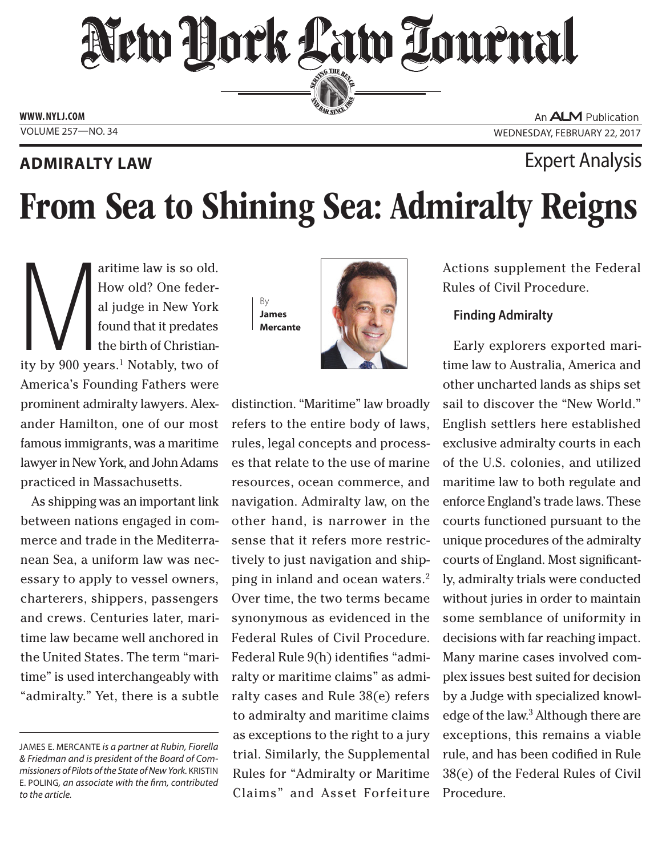## New Hork Law Lournal SERVING THE BEN

**ED BAR SINCE 188** 

**www. NYLJ.com**

### **ADMIRALTY LAW EXPERIMENT ADMIRALTY LAW**

An **ALM** Publication VOLUME 257—NO. 34 WEDNESDAY, FEBRUARY 22, 2017

# From Sea to Shining Sea: Admiralty Reigns

al judge in New York<br>
found that it predates<br>
the birth of Christian-<br>
ity by 900 years.<sup>1</sup> Notably, two of How old? One federal judge in New York found that it predates the birth of Christian-America's Founding Fathers were prominent admiralty lawyers. Alexander Hamilton, one of our most famous immigrants, was a maritime lawyer in New York, and John Adams practiced in Massachusetts.

As shipping was an important link between nations engaged in commerce and trade in the Mediterranean Sea, a uniform law was necessary to apply to vessel owners, charterers, shippers, passengers and crews. Centuries later, maritime law became well anchored in the United States. The term "maritime" is used interchangeably with "admiralty." Yet, there is a subtle By **James Mercante**



distinction. "Maritime" law broadly refers to the entire body of laws, rules, legal concepts and processes that relate to the use of marine resources, ocean commerce, and navigation. Admiralty law, on the other hand, is narrower in the sense that it refers more restrictively to just navigation and shipping in inland and ocean waters.2 Over time, the two terms became synonymous as evidenced in the Federal Rules of Civil Procedure. Federal Rule 9(h) identifies "admiralty or maritime claims" as admiralty cases and Rule 38(e) refers to admiralty and maritime claims as exceptions to the right to a jury trial. Similarly, the Supplemental Rules for "Admiralty or Maritime Claims" and Asset Forfeiture Actions supplement the Federal Rules of Civil Procedure.

### **Finding Admiralty**

Early explorers exported maritime law to Australia, America and other uncharted lands as ships set sail to discover the "New World." English settlers here established exclusive admiralty courts in each of the U.S. colonies, and utilized maritime law to both regulate and enforce England's trade laws. These courts functioned pursuant to the unique procedures of the admiralty courts of England. Most significantly, admiralty trials were conducted without juries in order to maintain some semblance of uniformity in decisions with far reaching impact. Many marine cases involved complex issues best suited for decision by a Judge with specialized knowledge of the law.3 Although there are exceptions, this remains a viable rule, and has been codified in Rule 38(e) of the Federal Rules of Civil Procedure.

James E. Mercante *is a partner at Rubin, Fiorella & Friedman and is president of the Board of Commissioners of Pilots of the State of New York.* Kristin E. Poling*, an associate with the firm, contributed to the article.*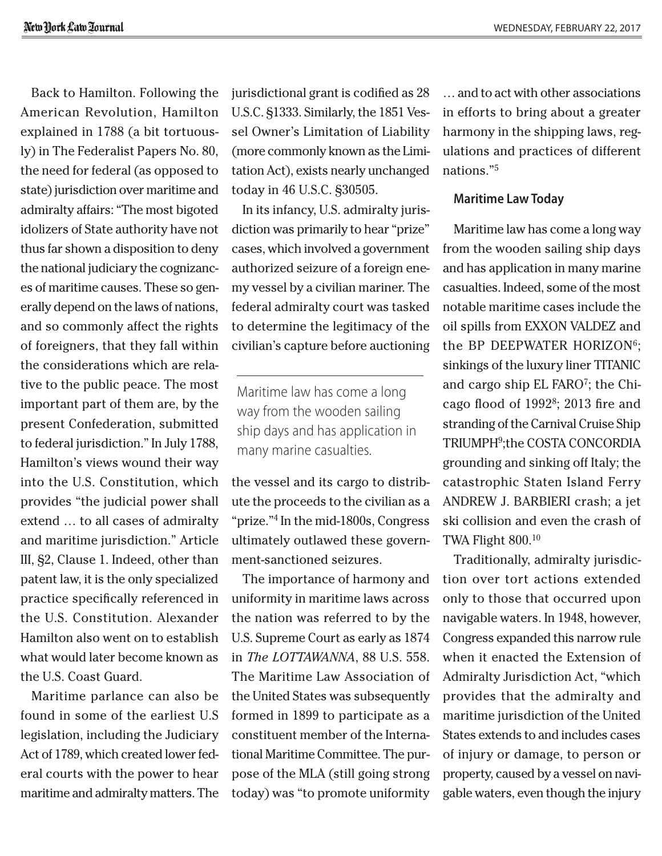Back to Hamilton. Following the American Revolution, Hamilton explained in 1788 (a bit tortuously) in The Federalist Papers No. 80, the need for federal (as opposed to state) jurisdiction over maritime and admiralty affairs: "The most bigoted idolizers of State authority have not thus far shown a disposition to deny the national judiciary the cognizances of maritime causes. These so generally depend on the laws of nations, and so commonly affect the rights of foreigners, that they fall within the considerations which are relative to the public peace. The most important part of them are, by the present Confederation, submitted to federal jurisdiction." In July 1788, Hamilton's views wound their way into the U.S. Constitution, which provides "the judicial power shall extend … to all cases of admiralty and maritime jurisdiction." Article III, §2, Clause 1. Indeed, other than patent law, it is the only specialized practice specifically referenced in the U.S. Constitution. Alexander Hamilton also went on to establish what would later become known as the U.S. Coast Guard.

Maritime parlance can also be found in some of the earliest U.S legislation, including the Judiciary Act of 1789, which created lower federal courts with the power to hear maritime and admiralty matters. The jurisdictional grant is codified as 28 U.S.C. §1333. Similarly, the 1851 Vessel Owner's Limitation of Liability (more commonly known as the Limitation Act), exists nearly unchanged today in 46 U.S.C. §30505.

In its infancy, U.S. admiralty jurisdiction was primarily to hear "prize" cases, which involved a government authorized seizure of a foreign enemy vessel by a civilian mariner. The federal admiralty court was tasked to determine the legitimacy of the civilian's capture before auctioning

Maritime law has come a long way from the wooden sailing ship days and has application in many marine casualties.

the vessel and its cargo to distribute the proceeds to the civilian as a "prize."4 In the mid-1800s, Congress ultimately outlawed these government-sanctioned seizures.

The importance of harmony and uniformity in maritime laws across the nation was referred to by the U.S. Supreme Court as early as 1874 in *The LOTTAWANNA*, 88 U.S. 558. The Maritime Law Association of the United States was subsequently formed in 1899 to participate as a constituent member of the International Maritime Committee. The purpose of the MLA (still going strong today) was "to promote uniformity

… and to act with other associations in efforts to bring about a greater harmony in the shipping laws, regulations and practices of different nations."5

#### **Maritime Law Today**

Maritime law has come a long way from the wooden sailing ship days and has application in many marine casualties. Indeed, some of the most notable maritime cases include the oil spills from EXXON VALDEZ and the BP DEEPWATER HORIZON<sup>6</sup>; sinkings of the luxury liner TITANIC and cargo ship EL FARO7; the Chicago flood of 19928; 2013 fire and stranding of the Carnival Cruise Ship TRIUMPH9;the COSTA CONCORDIA grounding and sinking off Italy; the catastrophic Staten Island Ferry ANDREW J. BARBIERI crash; a jet ski collision and even the crash of TWA Flight 800.10

Traditionally, admiralty jurisdiction over tort actions extended only to those that occurred upon navigable waters. In 1948, however, Congress expanded this narrow rule when it enacted the Extension of Admiralty Jurisdiction Act, "which provides that the admiralty and maritime jurisdiction of the United States extends to and includes cases of injury or damage, to person or property, caused by a vessel on navigable waters, even though the injury